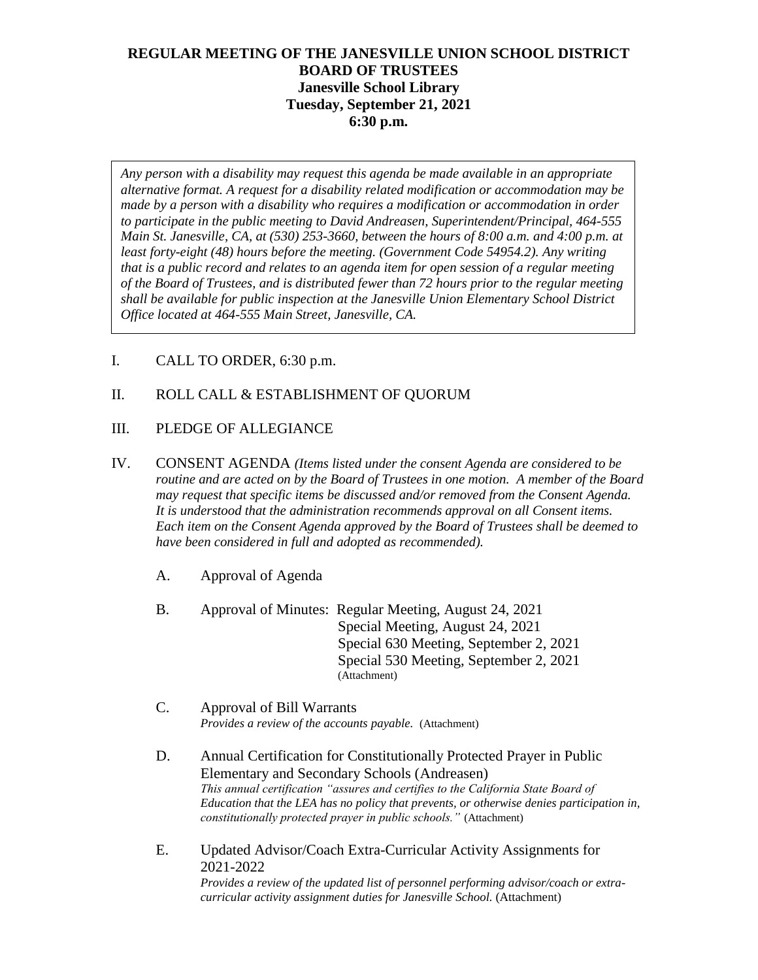# **REGULAR MEETING OF THE JANESVILLE UNION SCHOOL DISTRICT BOARD OF TRUSTEES Janesville School Library Tuesday, September 21, 2021 6:30 p.m.**

*Any person with a disability may request this agenda be made available in an appropriate alternative format. A request for a disability related modification or accommodation may be made by a person with a disability who requires a modification or accommodation in order to participate in the public meeting to David Andreasen, Superintendent/Principal, 464-555 Main St. Janesville, CA, at (530) 253-3660, between the hours of 8:00 a.m. and 4:00 p.m. at least forty-eight (48) hours before the meeting. (Government Code 54954.2). Any writing that is a public record and relates to an agenda item for open session of a regular meeting of the Board of Trustees, and is distributed fewer than 72 hours prior to the regular meeting shall be available for public inspection at the Janesville Union Elementary School District Office located at 464-555 Main Street, Janesville, CA.* 

I. CALL TO ORDER, 6:30 p.m.

# II. ROLL CALL & ESTABLISHMENT OF QUORUM

- III. PLEDGE OF ALLEGIANCE
- IV. CONSENT AGENDA *(Items listed under the consent Agenda are considered to be routine and are acted on by the Board of Trustees in one motion. A member of the Board may request that specific items be discussed and/or removed from the Consent Agenda. It is understood that the administration recommends approval on all Consent items. Each item on the Consent Agenda approved by the Board of Trustees shall be deemed to have been considered in full and adopted as recommended).*
	- A. Approval of Agenda
	- B. Approval of Minutes: Regular Meeting, August 24, 2021 Special Meeting, August 24, 2021 Special 630 Meeting, September 2, 2021 Special 530 Meeting, September 2, 2021 (Attachment)
	- C. Approval of Bill Warrants *Provides a review of the accounts payable.* (Attachment)
	- D. Annual Certification for Constitutionally Protected Prayer in Public Elementary and Secondary Schools (Andreasen) *This annual certification "assures and certifies to the California State Board of Education that the LEA has no policy that prevents, or otherwise denies participation in, constitutionally protected prayer in public schools."* (Attachment)
	- E. Updated Advisor/Coach Extra-Curricular Activity Assignments for 2021-2022

*Provides a review of the updated list of personnel performing advisor/coach or extracurricular activity assignment duties for Janesville School.* (Attachment)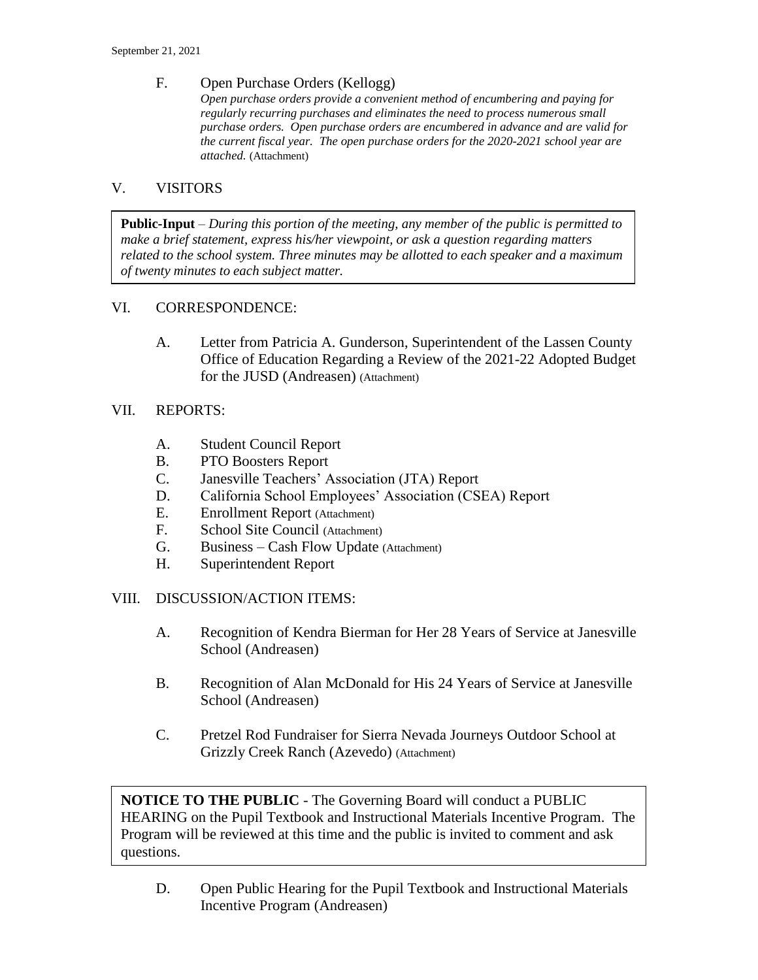### F. Open Purchase Orders (Kellogg)

*Open purchase orders provide a convenient method of encumbering and paying for regularly recurring purchases and eliminates the need to process numerous small purchase orders. Open purchase orders are encumbered in advance and are valid for the current fiscal year. The open purchase orders for the 2020-2021 school year are attached.* (Attachment)

### V. VISITORS

**Public-Input** – *During this portion of the meeting, any member of the public is permitted to make a brief statement, express his/her viewpoint, or ask a question regarding matters related to the school system. Three minutes may be allotted to each speaker and a maximum of twenty minutes to each subject matter.*

### VI. CORRESPONDENCE:

A. Letter from Patricia A. Gunderson, Superintendent of the Lassen County Office of Education Regarding a Review of the 2021-22 Adopted Budget for the JUSD (Andreasen) (Attachment)

### VII. REPORTS:

- A. Student Council Report
- B. PTO Boosters Report
- C. Janesville Teachers' Association (JTA) Report
- D. California School Employees' Association (CSEA) Report
- E. Enrollment Report (Attachment)
- F. School Site Council (Attachment)
- G. Business Cash Flow Update (Attachment)
- H. Superintendent Report

#### VIII. DISCUSSION/ACTION ITEMS:

- A. Recognition of Kendra Bierman for Her 28 Years of Service at Janesville School (Andreasen)
- B. Recognition of Alan McDonald for His 24 Years of Service at Janesville School (Andreasen)
- C. Pretzel Rod Fundraiser for Sierra Nevada Journeys Outdoor School at Grizzly Creek Ranch (Azevedo) (Attachment)

**NOTICE TO THE PUBLIC** - The Governing Board will conduct a PUBLIC HEARING on the Pupil Textbook and Instructional Materials Incentive Program. The Program will be reviewed at this time and the public is invited to comment and ask questions.

D. Open Public Hearing for the Pupil Textbook and Instructional Materials Incentive Program (Andreasen)